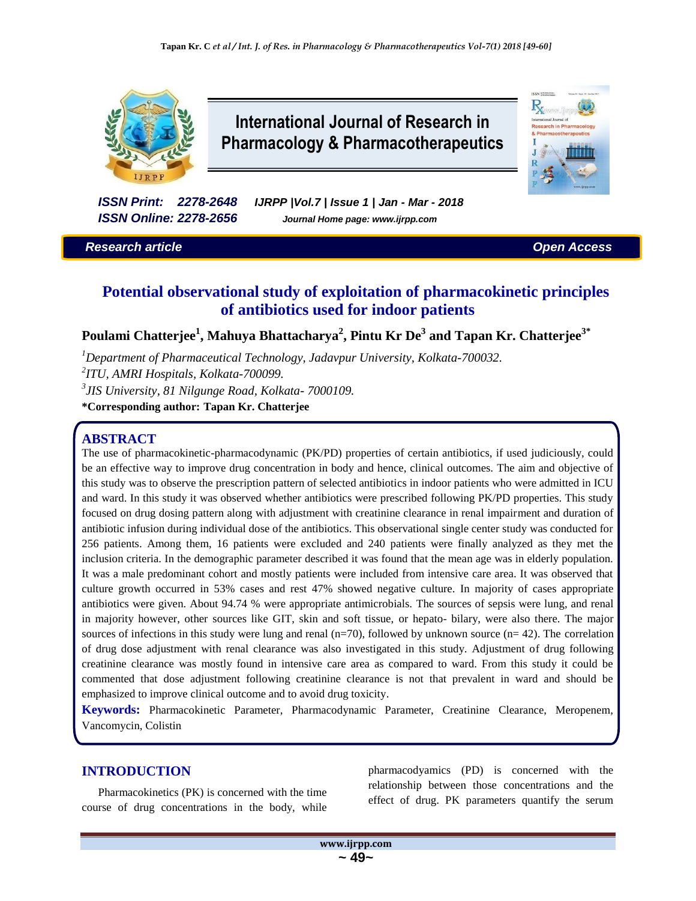

# **International Journal of Research in Pharmacology & Pharmacotherapeutics**

*ISSN Print: 2278-2648 IJRPP |Vol.7 | Issue 1 | Jan - Mar - 2018 ISSN Online: 2278-2656 Journal Home page: www.ijrpp.com*

*Research article Open Access*

**CCN Execute**  $R_{x}$ 

## **Potential observational study of exploitation of pharmacokinetic principles of antibiotics used for indoor patients**

**Poulami Chatterjee<sup>1</sup> , Mahuya Bhattacharya<sup>2</sup> , Pintu Kr De<sup>3</sup> and Tapan Kr. Chatterjee3\***

*<sup>1</sup>Department of Pharmaceutical Technology, Jadavpur University, Kolkata-700032.*

*2 ITU, AMRI Hospitals, Kolkata-700099.*

*3 JIS University, 81 Nilgunge Road, Kolkata- 7000109.*

**\*Corresponding author: Tapan Kr. Chatterjee**

## **ABSTRACT**

The use of pharmacokinetic-pharmacodynamic (PK/PD) properties of certain antibiotics, if used judiciously, could be an effective way to improve drug concentration in body and hence, clinical outcomes. The aim and objective of this study was to observe the prescription pattern of selected antibiotics in indoor patients who were admitted in ICU and ward. In this study it was observed whether antibiotics were prescribed following PK/PD properties. This study focused on drug dosing pattern along with adjustment with creatinine clearance in renal impairment and duration of antibiotic infusion during individual dose of the antibiotics. This observational single center study was conducted for 256 patients. Among them, 16 patients were excluded and 240 patients were finally analyzed as they met the inclusion criteria. In the demographic parameter described it was found that the mean age was in elderly population. It was a male predominant cohort and mostly patients were included from intensive care area. It was observed that culture growth occurred in 53% cases and rest 47% showed negative culture. In majority of cases appropriate antibiotics were given. About 94.74 % were appropriate antimicrobials. The sources of sepsis were lung, and renal in majority however, other sources like GIT, skin and soft tissue, or hepato- bilary, were also there. The major sources of infections in this study were lung and renal  $(n=70)$ , followed by unknown source  $(n=42)$ . The correlation of drug dose adjustment with renal clearance was also investigated in this study. Adjustment of drug following creatinine clearance was mostly found in intensive care area as compared to ward. From this study it could be commented that dose adjustment following creatinine clearance is not that prevalent in ward and should be emphasized to improve clinical outcome and to avoid drug toxicity.

**Keywords:** Pharmacokinetic Parameter, Pharmacodynamic Parameter, Creatinine Clearance, Meropenem, Vancomycin, Colistin

## **INTRODUCTION**

Pharmacokinetics (PK) is concerned with the time course of drug concentrations in the body, while

pharmacodyamics (PD) is concerned with the relationship between those concentrations and the effect of drug. PK parameters quantify the serum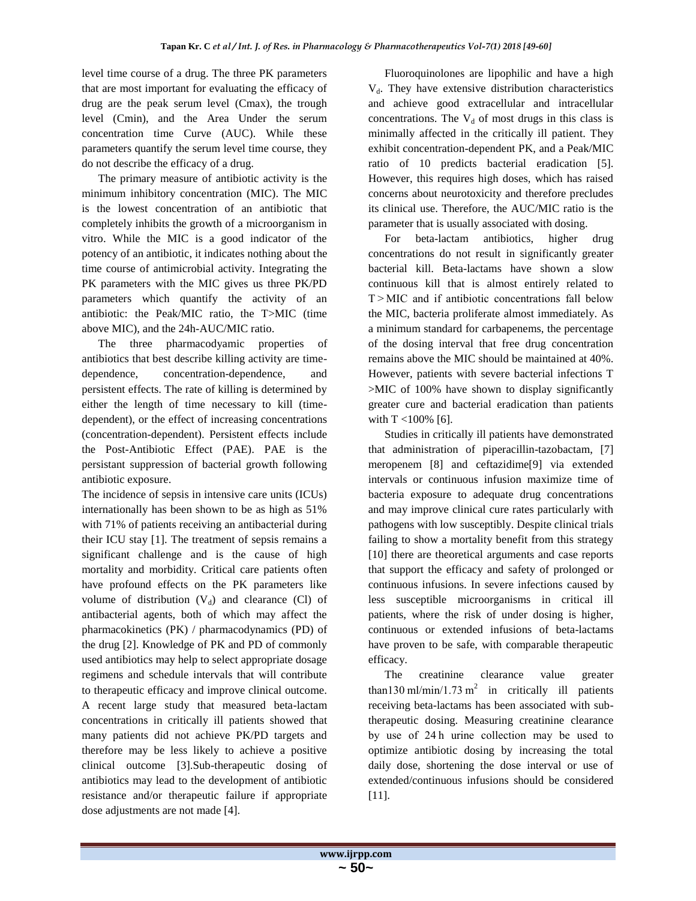level time course of a drug. The three PK parameters that are most important for evaluating the efficacy of drug are the peak serum level (Cmax), the trough level (Cmin), and the Area Under the serum concentration time Curve (AUC). While these parameters quantify the serum level time course, they do not describe the efficacy of a drug.

The primary measure of antibiotic activity is the minimum inhibitory concentration (MIC). The MIC is the lowest concentration of an antibiotic that completely inhibits the growth of a microorganism in vitro. While the MIC is a good indicator of the potency of an antibiotic, it indicates nothing about the time course of antimicrobial activity. Integrating the PK parameters with the MIC gives us three PK/PD parameters which quantify the activity of an antibiotic: the Peak/MIC ratio, the T>MIC (time above MIC), and the 24h-AUC/MIC ratio.

The three pharmacodyamic properties of antibiotics that best describe killing activity are timedependence, concentration-dependence, and persistent effects. The rate of killing is determined by either the length of time necessary to kill (timedependent), or the effect of increasing concentrations (concentration-dependent). Persistent effects include the Post-Antibiotic Effect (PAE). PAE is the persistant suppression of bacterial growth following antibiotic exposure.

The incidence of sepsis in intensive care units (ICUs) internationally has been shown to be as high as 51% with 71% of patients receiving an antibacterial during their ICU stay [1]. The treatment of sepsis remains a significant challenge and is the cause of high mortality and morbidity. Critical care patients often have profound effects on the PK parameters like volume of distribution  $(V_d)$  and clearance (Cl) of antibacterial agents, both of which may affect the pharmacokinetics (PK) / pharmacodynamics (PD) of the drug [2]. Knowledge of PK and PD of commonly used antibiotics may help to select appropriate dosage regimens and schedule intervals that will contribute to therapeutic efficacy and improve clinical outcome. A recent large study that measured beta-lactam concentrations in critically ill patients showed that many patients did not achieve PK/PD targets and therefore may be less likely to achieve a positive clinical outcome [3].Sub-therapeutic dosing of antibiotics may lead to the development of antibiotic resistance and/or therapeutic failure if appropriate dose adjustments are not made [4].

Fluoroquinolones are lipophilic and have a high  $V<sub>d</sub>$ . They have extensive distribution characteristics and achieve good extracellular and intracellular concentrations. The  $V_d$  of most drugs in this class is minimally affected in the critically ill patient. They exhibit concentration-dependent PK, and a Peak/MIC ratio of 10 predicts bacterial eradication [5]. However, this requires high doses, which has raised concerns about neurotoxicity and therefore precludes its clinical use. Therefore, the AUC/MIC ratio is the parameter that is usually associated with dosing.

For beta-lactam antibiotics, higher drug concentrations do not result in significantly greater bacterial kill. Beta-lactams have shown a slow continuous kill that is almost entirely related to T > MIC and if antibiotic concentrations fall below the MIC, bacteria proliferate almost immediately. As a minimum standard for carbapenems, the percentage of the dosing interval that free drug concentration remains above the MIC should be maintained at 40%. However, patients with severe bacterial infections T >MIC of 100% have shown to display significantly greater cure and bacterial eradication than patients with T <100% [6].

Studies in critically ill patients have demonstrated that administration of piperacillin-tazobactam, [7] meropenem [8] and ceftazidime[9] via extended intervals or continuous infusion maximize time of bacteria exposure to adequate drug concentrations and may improve clinical cure rates particularly with pathogens with low susceptibly. Despite clinical trials failing to show a mortality benefit from this strategy [10] there are theoretical arguments and case reports that support the efficacy and safety of prolonged or continuous infusions. In severe infections caused by less susceptible microorganisms in critical ill patients, where the risk of under dosing is higher, continuous or extended infusions of beta-lactams have proven to be safe, with comparable therapeutic efficacy.

The creatinine clearance value greater than130 ml/min/1.73 m<sup>2</sup> in critically ill patients receiving beta-lactams has been associated with subtherapeutic dosing. Measuring creatinine clearance by use of 24 h urine collection may be used to optimize antibiotic dosing by increasing the total daily dose, shortening the dose interval or use of extended/continuous infusions should be considered [11].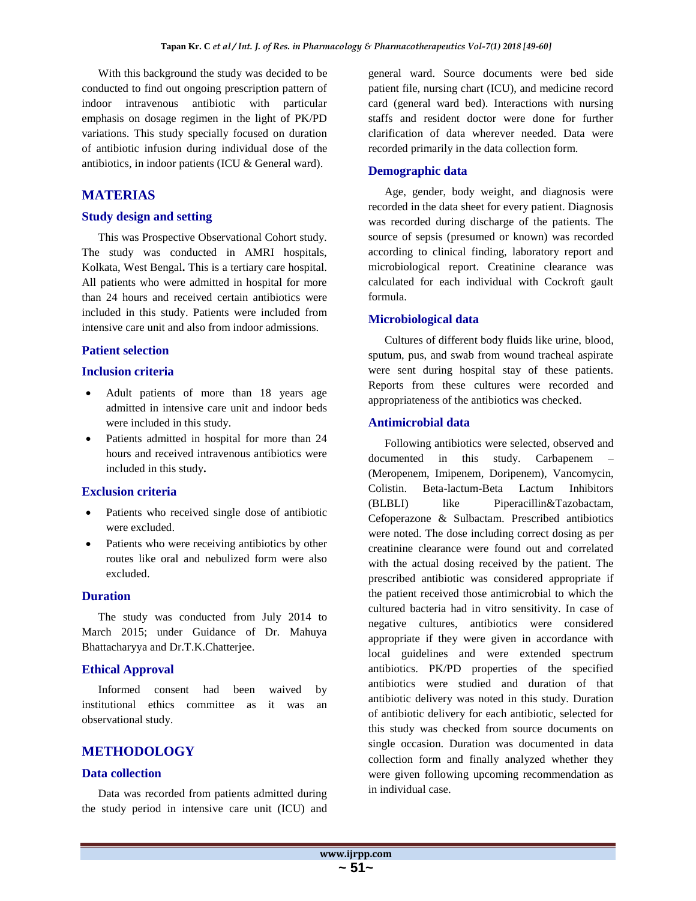With this background the study was decided to be conducted to find out ongoing prescription pattern of indoor intravenous antibiotic with particular emphasis on dosage regimen in the light of PK/PD variations. This study specially focused on duration of antibiotic infusion during individual dose of the antibiotics, in indoor patients (ICU & General ward).

## **MATERIAS**

#### **Study design and setting**

This was Prospective Observational Cohort study. The study was conducted in AMRI hospitals, Kolkata, West Bengal**.** This is a tertiary care hospital. All patients who were admitted in hospital for more than 24 hours and received certain antibiotics were included in this study. Patients were included from intensive care unit and also from indoor admissions.

## **Patient selection**

## **Inclusion criteria**

- Adult patients of more than 18 years age admitted in intensive care unit and indoor beds were included in this study.
- Patients admitted in hospital for more than 24 hours and received intravenous antibiotics were included in this study**.**

## **Exclusion criteria**

- Patients who received single dose of antibiotic were excluded.
- Patients who were receiving antibiotics by other routes like oral and nebulized form were also excluded.

### **Duration**

The study was conducted from July 2014 to March 2015; under Guidance of Dr. Mahuya Bhattacharyya and Dr.T.K.Chatterjee.

## **Ethical Approval**

Informed consent had been waived by institutional ethics committee as it was an observational study.

## **METHODOLOGY**

#### **Data collection**

Data was recorded from patients admitted during the study period in intensive care unit (ICU) and general ward. Source documents were bed side patient file, nursing chart (ICU), and medicine record card (general ward bed). Interactions with nursing staffs and resident doctor were done for further clarification of data wherever needed. Data were recorded primarily in the data collection form.

#### **Demographic data**

Age, gender, body weight, and diagnosis were recorded in the data sheet for every patient. Diagnosis was recorded during discharge of the patients. The source of sepsis (presumed or known) was recorded according to clinical finding, laboratory report and microbiological report. Creatinine clearance was calculated for each individual with Cockroft gault formula.

## **Microbiological data**

Cultures of different body fluids like urine, blood, sputum, pus, and swab from wound tracheal aspirate were sent during hospital stay of these patients. Reports from these cultures were recorded and appropriateness of the antibiotics was checked.

## **Antimicrobial data**

Following antibiotics were selected, observed and documented in this study. Carbapenem (Meropenem, Imipenem, Doripenem), Vancomycin, Colistin. Beta-lactum-Beta Lactum Inhibitors (BLBLI) like Piperacillin&Tazobactam, Cefoperazone & Sulbactam. Prescribed antibiotics were noted. The dose including correct dosing as per creatinine clearance were found out and correlated with the actual dosing received by the patient. The prescribed antibiotic was considered appropriate if the patient received those antimicrobial to which the cultured bacteria had in vitro sensitivity. In case of negative cultures, antibiotics were considered appropriate if they were given in accordance with local guidelines and were extended spectrum antibiotics. PK/PD properties of the specified antibiotics were studied and duration of that antibiotic delivery was noted in this study. Duration of antibiotic delivery for each antibiotic, selected for this study was checked from source documents on single occasion. Duration was documented in data collection form and finally analyzed whether they were given following upcoming recommendation as in individual case.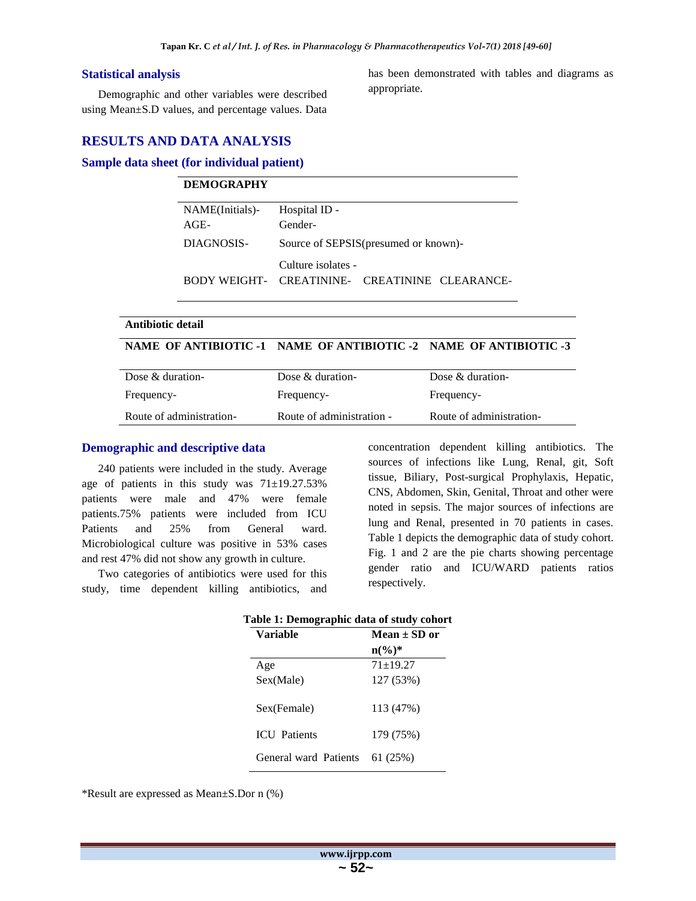#### **Statistical analysis**

Demographic and other variables were described using Mean±S.D values, and percentage values. Data has been demonstrated with tables and diagrams as appropriate.

## **RESULTS AND DATA ANALYSIS**

#### **Sample data sheet (for individual patient)**

| <b>DEMOGRAPHY</b> |                                                                      |
|-------------------|----------------------------------------------------------------------|
| NAME(Initials)-   | Hospital ID -                                                        |
| $AGE-$            | Gender-                                                              |
| DIAGNOSIS-        | Source of SEPSIS (presumed or known)-                                |
|                   | Culture isolates -<br>BODY WEIGHT- CREATININE- CREATININE CLEARANCE- |

#### **Antibiotic detail**

## **NAME OF ANTIBIOTIC -1 NAME OF ANTIBIOTIC -2 NAME OF ANTIBIOTIC -3**

| Dose $&$ duration-       | Dose $\&$ duration-       | Dose $\&$ duration-      |
|--------------------------|---------------------------|--------------------------|
| Frequency-               | Frequency-                | Frequency-               |
| Route of administration- | Route of administration - | Route of administration- |

#### **Demographic and descriptive data**

240 patients were included in the study. Average age of patients in this study was  $71\pm19.27.53\%$ patients were male and 47% were female patients.75% patients were included from ICU Patients and 25% from General ward. Microbiological culture was positive in 53% cases and rest 47% did not show any growth in culture.

Two categories of antibiotics were used for this study, time dependent killing antibiotics, and concentration dependent killing antibiotics. The sources of infections like Lung, Renal, git, Soft tissue, Biliary, Post-surgical Prophylaxis, Hepatic, CNS, Abdomen, Skin, Genital, Throat and other were noted in sepsis. The major sources of infections are lung and Renal, presented in 70 patients in cases. Table 1 depicts the demographic data of study cohort. Fig. 1 and 2 are the pie charts showing percentage gender ratio and ICU/WARD patients ratios respectively.

| Table 1: Demographic data of study cohort |                   |  |  |  |  |  |
|-------------------------------------------|-------------------|--|--|--|--|--|
| <b>Variable</b>                           | Mean $\pm$ SD or  |  |  |  |  |  |
|                                           | $n\binom{0}{0}^*$ |  |  |  |  |  |
| Age                                       | $71 + 19.27$      |  |  |  |  |  |
| Sex(Male)                                 | 127 (53%)         |  |  |  |  |  |
| Sex(Female)                               | 113 (47%)         |  |  |  |  |  |
| <b>ICU</b> Patients                       | 179 (75%)         |  |  |  |  |  |
| General ward Patients                     | 61 (25%)          |  |  |  |  |  |

\*Result are expressed as Mean±S.Dor n (%)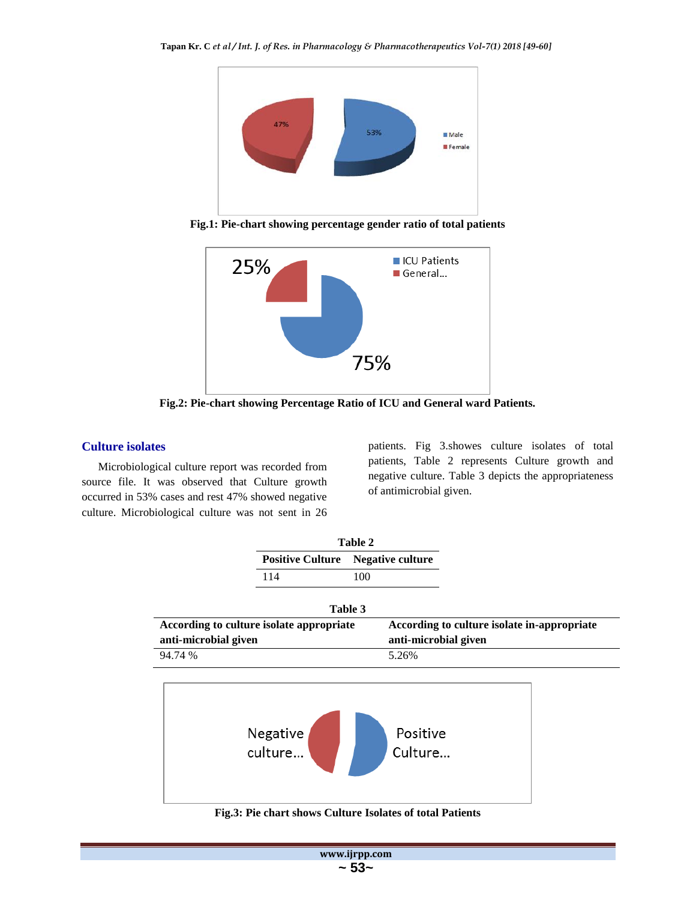

**Fig.1: Pie-chart showing percentage gender ratio of total patients**



**Fig.2: Pie-chart showing Percentage Ratio of ICU and General ward Patients.**

## **Culture isolates**

Microbiological culture report was recorded from source file. It was observed that Culture growth occurred in 53% cases and rest 47% showed negative culture. Microbiological culture was not sent in 26

patients. Fig 3.showes culture isolates of total patients, Table 2 represents Culture growth and negative culture. Table 3 depicts the appropriateness of antimicrobial given.

|                      |                                          | Table 2                                  |                                             |
|----------------------|------------------------------------------|------------------------------------------|---------------------------------------------|
|                      |                                          | <b>Positive Culture</b> Negative culture |                                             |
|                      | 114                                      | 100                                      |                                             |
|                      |                                          | Table 3                                  |                                             |
| anti-microbial given | According to culture isolate appropriate | anti-microbial given                     | According to culture isolate in-appropriate |
| 94.74 %              |                                          | 5.26%                                    |                                             |



**Fig.3: Pie chart shows Culture Isolates of total Patients**

| www.ijrpp.com |
|---------------|
|               |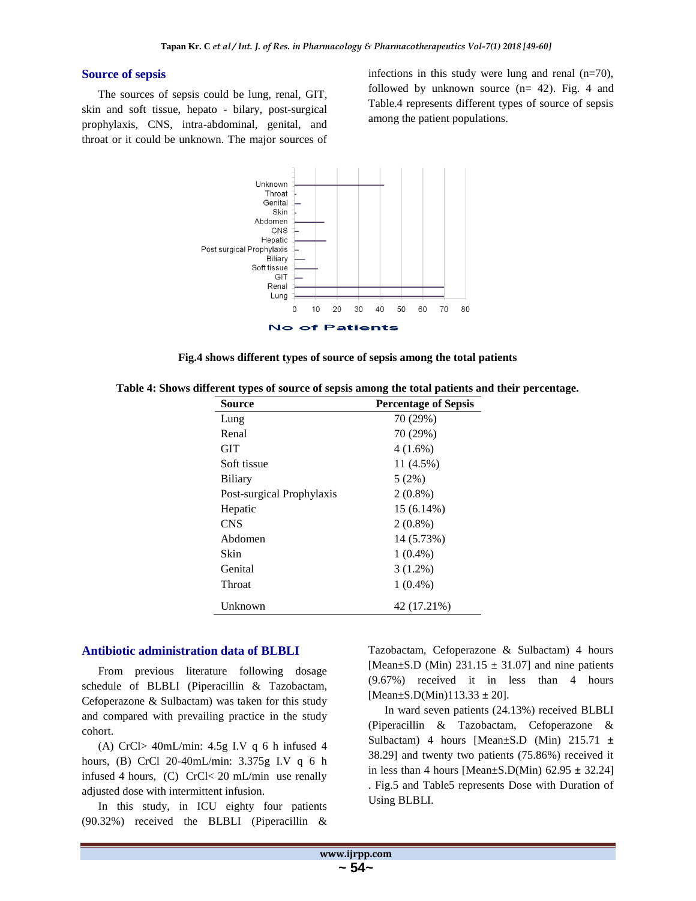## **Source of sepsis**

The sources of sepsis could be lung, renal, GIT, skin and soft tissue, hepato - bilary, post-surgical prophylaxis, CNS, intra-abdominal, genital, and throat or it could be unknown. The major sources of infections in this study were lung and renal (n=70), followed by unknown source (n= 42). Fig. 4 and Table.4 represents different types of source of sepsis among the patient populations.





| Source                    | <b>Percentage of Sepsis</b> |
|---------------------------|-----------------------------|
| Lung                      | 70 (29%)                    |
| Renal                     | 70 (29%)                    |
| GIT                       | $4(1.6\%)$                  |
| Soft tissue               | 11 (4.5%)                   |
| Biliary                   | 5(2%)                       |
| Post-surgical Prophylaxis | $2(0.8\%)$                  |
| Hepatic                   | 15 (6.14%)                  |
| CNS                       | $2(0.8\%)$                  |
| Abdomen                   | 14 (5.73%)                  |
| Skin                      | $1(0.4\%)$                  |
| Genital                   | $3(1.2\%)$                  |
| Throat                    | $1(0.4\%)$                  |
| Unknown                   | 42 (17.21%)                 |

**Table 4: Shows different types of source of sepsis among the total patients and their percentage.**

#### **Antibiotic administration data of BLBLI**

From previous literature following dosage schedule of BLBLI (Piperacillin & Tazobactam, Cefoperazone & Sulbactam) was taken for this study and compared with prevailing practice in the study cohort.

(A) CrCl> 40mL/min: 4.5g I.V q 6 h infused 4 hours, (B) CrCl 20-40mL/min: 3.375g I.V q 6 h infused 4 hours, (C) CrCl< 20 mL/min use renally adjusted dose with intermittent infusion.

In this study, in ICU eighty four patients (90.32%) received the BLBLI (Piperacillin & Tazobactam, Cefoperazone & Sulbactam) 4 hours [Mean $\pm$ S.D (Min) 231.15  $\pm$  31.07] and nine patients (9.67%) received it in less than 4 hours [Mean±S.D(Min)113.33 **±** 20].

In ward seven patients (24.13%) received BLBLI (Piperacillin & Tazobactam, Cefoperazone & Sulbactam) 4 hours [Mean±S.D (Min) 215.71 **±** 38.29] and twenty two patients (75.86%) received it in less than 4 hours [Mean±S.D(Min) 62.95 **±** 32.24] . Fig.5 and Table5 represents Dose with Duration of Using BLBLI.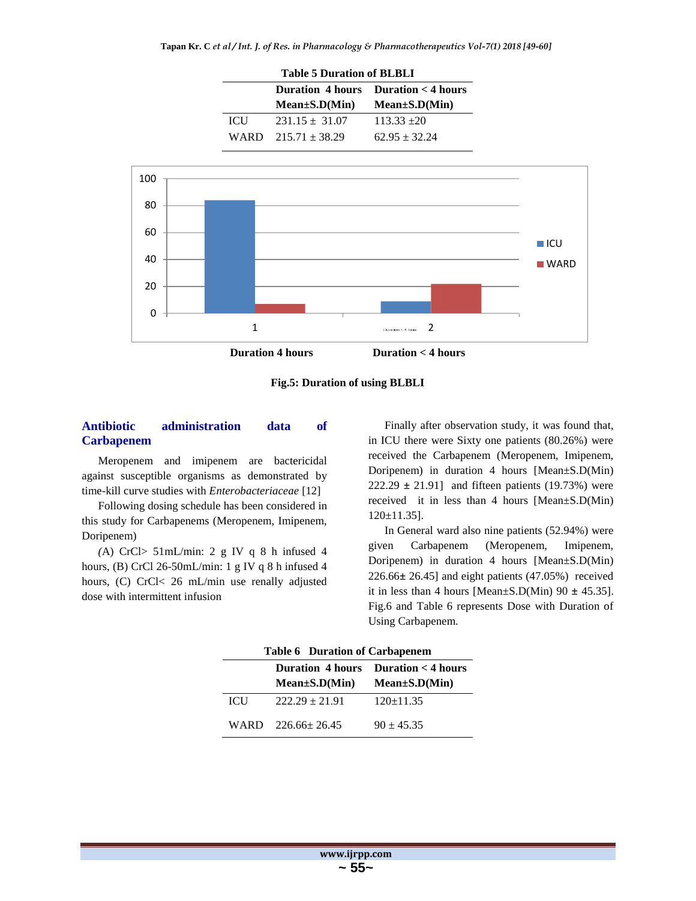| <b>Table 5 Duration of BLBLI</b> |                         |                                                           |  |  |  |  |  |
|----------------------------------|-------------------------|-----------------------------------------------------------|--|--|--|--|--|
|                                  |                         | Duration $4 \text{ hours}$ Duration $\lt 4 \text{ hours}$ |  |  |  |  |  |
|                                  | $Mean \pm S.D(Min)$     | $Mean \pm S.D(Min)$                                       |  |  |  |  |  |
| <b>ICU</b>                       | $231.15 \pm 31.07$      | $113.33 + 20$                                             |  |  |  |  |  |
|                                  | WARD $215.71 \pm 38.29$ | $62.95 + 32.24$                                           |  |  |  |  |  |



**Fig.5: Duration of using BLBLI**

## **Antibiotic administration data of Carbapenem**

Meropenem and imipenem are bactericidal against susceptible organisms as demonstrated by time-kill curve studies with *Enterobacteriaceae* [12]

Following dosing schedule has been considered in this study for Carbapenems (Meropenem, Imipenem, Doripenem)

*(*A) CrCl> 51mL/min: 2 g IV q 8 h infused 4 hours, (B) CrCl 26-50mL/min: 1 g IV q 8 h infused 4 hours, (C) CrCl< 26 mL/min use renally adjusted dose with intermittent infusion

Finally after observation study, it was found that, in ICU there were Sixty one patients (80.26%) were received the Carbapenem (Meropenem, Imipenem, Doripenem) in duration 4 hours [Mean±S.D(Min) 222.29 **±** 21.91] and fifteen patients (19.73%) were received it in less than 4 hours [Mean±S.D(Min) 120±11.35].

In General ward also nine patients (52.94%) were given Carbapenem (Meropenem, Imipenem, Doripenem) in duration 4 hours [Mean±S.D(Min) 226.66**±** 26.45] and eight patients (47.05%) received it in less than 4 hours [Mean $\pm$ S.D(Min) 90  $\pm$  45.35]. Fig.6 and Table 6 represents Dose with Duration of Using Carbapenem.

| <b>Table 6 Duration of Carbapenem</b> |                                         |              |  |  |  |  |  |
|---------------------------------------|-----------------------------------------|--------------|--|--|--|--|--|
|                                       | Duration $4$ hours Duration $<$ 4 hours |              |  |  |  |  |  |
|                                       | $Mean \pm S.D(Min)$ $Mean \pm S.D(Min)$ |              |  |  |  |  |  |
| <b>ICU</b>                            | $222.29 \pm 21.91$                      | $120+11.35$  |  |  |  |  |  |
|                                       | WARD 226.66+26.45                       | $90 + 45.35$ |  |  |  |  |  |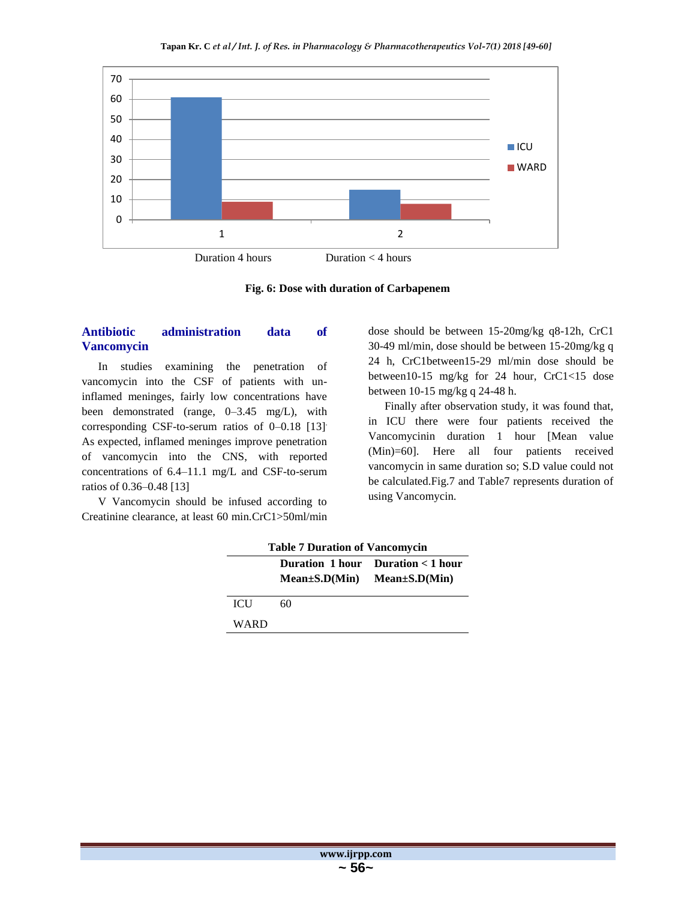

**Fig. 6: Dose with duration of Carbapenem**

## **Antibiotic administration data of Vancomycin**

In studies examining the penetration of vancomycin into the CSF of patients with uninflamed meninges, fairly low concentrations have been demonstrated (range, 0–3.45 mg/L), with corresponding CSF-to-serum ratios of 0–0.18 [13]. As expected, inflamed meninges improve penetration of vancomycin into the CNS, with reported concentrations of 6.4–11.1 mg/L and CSF-to-serum ratios of 0.36–0.48 [13]

V Vancomycin should be infused according to Creatinine clearance, at least 60 min.CrC1>50ml/min dose should be between 15-20mg/kg q8-12h, CrC1 30-49 ml/min, dose should be between 15-20mg/kg q 24 h, CrC1between15-29 ml/min dose should be between10-15 mg/kg for 24 hour, CrC1<15 dose between 10-15 mg/kg q 24-48 h.

Finally after observation study, it was found that, in ICU there were four patients received the Vancomycinin duration 1 hour [Mean value (Min)=60]. Here all four patients received vancomycin in same duration so; S.D value could not be calculated.Fig.7 and Table7 represents duration of using Vancomycin.

| <b>Table 7 Duration of Vancomycin</b> |                                         |  |  |  |  |  |  |  |
|---------------------------------------|-----------------------------------------|--|--|--|--|--|--|--|
|                                       | Duration 1 hour Duration $<$ 1 hour     |  |  |  |  |  |  |  |
|                                       | $Mean \pm S.D(Min)$ $Mean \pm S.D(Min)$ |  |  |  |  |  |  |  |
| <b>ICU</b>                            | 60                                      |  |  |  |  |  |  |  |
| WARD                                  |                                         |  |  |  |  |  |  |  |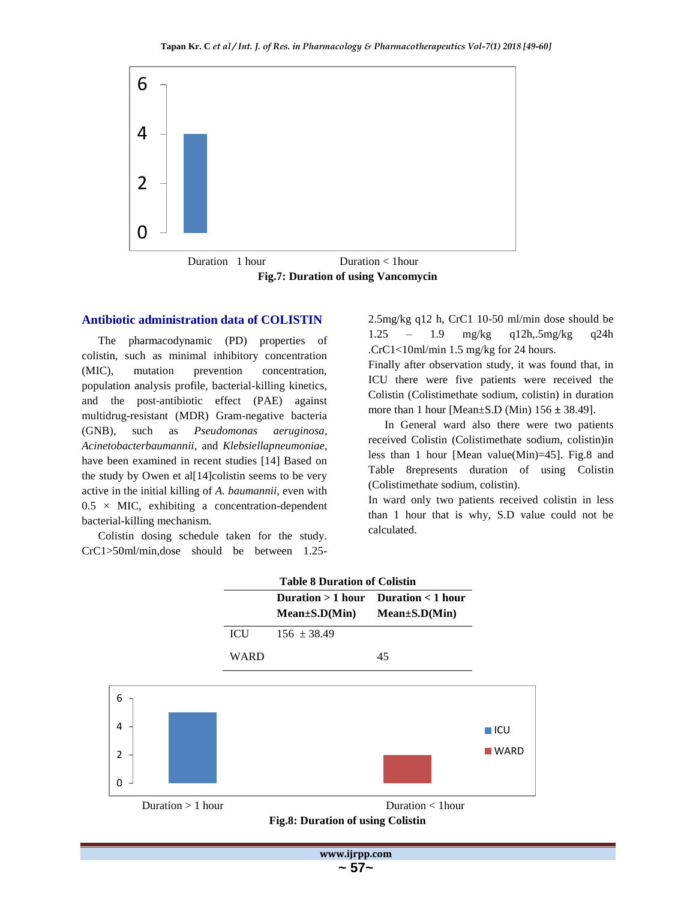

**Fig.7: Duration of using Vancomycin**

#### **Antibiotic administration data of COLISTIN**

The pharmacodynamic (PD) properties of colistin, such as minimal inhibitory concentration (MIC), mutation prevention concentration, population analysis profile, bacterial-killing kinetics, and the post-antibiotic effect (PAE) against multidrug-resistant (MDR) Gram-negative bacteria (GNB), such as *Pseudomonas aeruginosa*, *Acinetobacterbaumannii*, and *Klebsiellapneumoniae*, have been examined in recent studies [14] Based on the study by Owen et al[14]colistin seems to be very active in the initial killing of *A. baumannii*, even with  $0.5 \times$  MIC, exhibiting a concentration-dependent bacterial-killing mechanism.

Colistin dosing schedule taken for the study. CrC1>50ml/min,dose should be between 1.252.5mg/kg q12 h, CrC1 10-50 ml/min dose should be 1.25 – 1.9 mg/kg q12h,.5mg/kg q24h .CrC1<10ml/min 1.5 mg/kg for 24 hours.

Finally after observation study, it was found that, in ICU there were five patients were received the Colistin (Colistimethate sodium, colistin) in duration more than 1 hour [Mean±S.D (Min) 156 **±** 38.49].

In General ward also there were two patients received Colistin (Colistimethate sodium, colistin)in less than 1 hour [Mean value(Min)=45]. Fig.8 and Table 8represents duration of using Colistin (Colistimethate sodium, colistin).

In ward only two patients received colistin in less than 1 hour that is why, S.D value could not be calculated.



**www.ijrpp.com ~ 57~**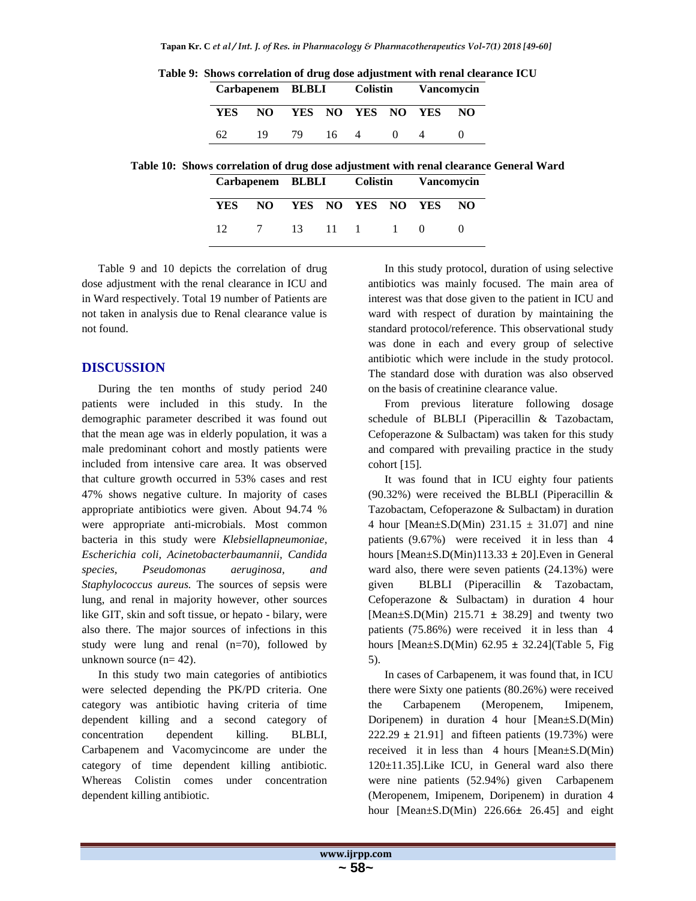|      |     | Carbapenem BLBLI Colistin |      |  |          | <b>Vancomvcin</b> |     |
|------|-----|---------------------------|------|--|----------|-------------------|-----|
| YES. | NO. |                           |      |  |          | YES NO YES NO YES | NO. |
| 62   | 19  | 79.                       | 16 4 |  | $\Omega$ |                   |     |

**Table 9: Shows correlation of drug dose adjustment with renal clearance ICU**

|  |  |  | Table 10: Shows correlation of drug dose adjustment with renal clearance General Ward |  |  |
|--|--|--|---------------------------------------------------------------------------------------|--|--|
|  |  |  |                                                                                       |  |  |

| Carbapenem BLBLI |               |  | Colistin          | <b>Vancomycin</b> |     |
|------------------|---------------|--|-------------------|-------------------|-----|
| YES.             | NO.           |  | YES NO YES NO YES |                   | NO. |
| 12 <sup>12</sup> | 7 13 11 1 1 0 |  |                   |                   |     |

Table 9 and 10 depicts the correlation of drug dose adjustment with the renal clearance in ICU and in Ward respectively. Total 19 number of Patients are not taken in analysis due to Renal clearance value is not found.

## **DISCUSSION**

During the ten months of study period 240 patients were included in this study. In the demographic parameter described it was found out that the mean age was in elderly population, it was a male predominant cohort and mostly patients were included from intensive care area. It was observed that culture growth occurred in 53% cases and rest 47% shows negative culture. In majority of cases appropriate antibiotics were given. About 94.74 % were appropriate anti-microbials. Most common bacteria in this study were *Klebsiellapneumoniae, Escherichia coli, Acinetobacterbaumannii, Candida species, Pseudomonas aeruginosa, and Staphylococcus aureus.* The sources of sepsis were lung, and renal in majority however, other sources like GIT, skin and soft tissue, or hepato - bilary, were also there. The major sources of infections in this study were lung and renal (n=70), followed by unknown source  $(n= 42)$ .

In this study two main categories of antibiotics were selected depending the PK/PD criteria. One category was antibiotic having criteria of time dependent killing and a second category of concentration dependent killing. BLBLI, Carbapenem and Vacomycincome are under the category of time dependent killing antibiotic. Whereas Colistin comes under concentration dependent killing antibiotic.

In this study protocol, duration of using selective antibiotics was mainly focused. The main area of interest was that dose given to the patient in ICU and ward with respect of duration by maintaining the standard protocol/reference. This observational study was done in each and every group of selective antibiotic which were include in the study protocol. The standard dose with duration was also observed on the basis of creatinine clearance value.

From previous literature following dosage schedule of BLBLI (Piperacillin & Tazobactam, Cefoperazone & Sulbactam) was taken for this study and compared with prevailing practice in the study cohort [15].

It was found that in ICU eighty four patients (90.32%) were received the BLBLI (Piperacillin & Tazobactam, Cefoperazone & Sulbactam) in duration 4 hour [Mean $\pm$ S.D(Min) 231.15  $\pm$  31.07] and nine patients (9.67%) were received it in less than 4 hours [Mean±S.D(Min)113.33 **±** 20].Even in General ward also, there were seven patients (24.13%) were given BLBLI (Piperacillin & Tazobactam, Cefoperazone & Sulbactam) in duration 4 hour [Mean $\pm$ S.D(Min) 215.71  $\pm$  38.29] and twenty two patients (75.86%) were received it in less than 4 hours [Mean±S.D(Min) 62.95 **±** 32.24](Table 5, Fig 5).

In cases of Carbapenem, it was found that, in ICU there were Sixty one patients (80.26%) were received the Carbapenem (Meropenem, Imipenem, Doripenem) in duration 4 hour [Mean±S.D(Min) 222.29 **±** 21.91] and fifteen patients (19.73%) were received it in less than 4 hours [Mean±S.D(Min) 120±11.35].Like ICU, in General ward also there were nine patients (52.94%) given Carbapenem (Meropenem, Imipenem, Doripenem) in duration 4 hour [Mean±S.D(Min) 226.66**±** 26.45] and eight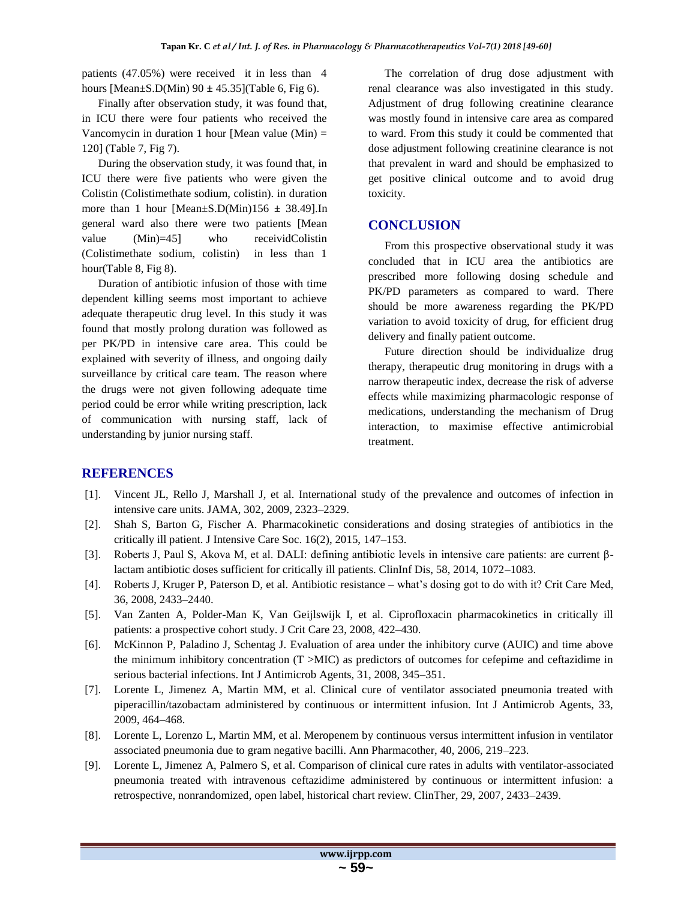patients (47.05%) were received it in less than 4 hours [Mean±S.D(Min) 90 **±** 45.35](Table 6, Fig 6).

Finally after observation study, it was found that, in ICU there were four patients who received the Vancomycin in duration 1 hour [Mean value (Min)  $=$ 120] (Table 7, Fig 7).

During the observation study, it was found that, in ICU there were five patients who were given the Colistin (Colistimethate sodium, colistin). in duration more than 1 hour [Mean±S.D(Min)156 **±** 38.49].In general ward also there were two patients [Mean value (Min)=45] who receividColistin (Colistimethate sodium, colistin) in less than 1 hour(Table 8, Fig 8).

Duration of antibiotic infusion of those with time dependent killing seems most important to achieve adequate therapeutic drug level. In this study it was found that mostly prolong duration was followed as per PK/PD in intensive care area. This could be explained with severity of illness, and ongoing daily surveillance by critical care team. The reason where the drugs were not given following adequate time period could be error while writing prescription, lack of communication with nursing staff, lack of understanding by junior nursing staff.

The correlation of drug dose adjustment with renal clearance was also investigated in this study. Adjustment of drug following creatinine clearance was mostly found in intensive care area as compared to ward. From this study it could be commented that dose adjustment following creatinine clearance is not that prevalent in ward and should be emphasized to get positive clinical outcome and to avoid drug toxicity.

## **CONCLUSION**

From this prospective observational study it was concluded that in ICU area the antibiotics are prescribed more following dosing schedule and PK/PD parameters as compared to ward. There should be more awareness regarding the PK/PD variation to avoid toxicity of drug, for efficient drug delivery and finally patient outcome.

Future direction should be individualize drug therapy, therapeutic drug monitoring in drugs with a narrow therapeutic index, decrease the risk of adverse effects while maximizing pharmacologic response of medications, understanding the mechanism of Drug interaction, to maximise effective antimicrobial treatment.

## **REFERENCES**

- [1]. Vincent JL, Rello J, Marshall J, et al. International study of the prevalence and outcomes of infection in intensive care units. JAMA, 302, 2009, 2323–2329.
- [2]. Shah S, Barton G, Fischer A. Pharmacokinetic considerations and dosing strategies of antibiotics in the critically ill patient. J Intensive Care Soc. 16(2), 2015, 147–153.
- [3]. Roberts J, Paul S, Akova M, et al. DALI: defining antibiotic levels in intensive care patients: are current βlactam antibiotic doses sufficient for critically ill patients. ClinInf Dis, 58, 2014, 1072–1083.
- [4]. Roberts J, Kruger P, Paterson D, et al. Antibiotic resistance what's dosing got to do with it? Crit Care Med, 36, 2008, 2433–2440.
- [5]. Van Zanten A, Polder-Man K, Van Geijlswijk I, et al. Ciprofloxacin pharmacokinetics in critically ill patients: a prospective cohort study. J Crit Care 23, 2008, 422–430.
- [6]. McKinnon P, Paladino J, Schentag J. Evaluation of area under the inhibitory curve (AUIC) and time above the minimum inhibitory concentration  $(T > MIC)$  as predictors of outcomes for cefepime and ceftazidime in serious bacterial infections. Int J Antimicrob Agents, 31, 2008, 345–351.
- [7]. Lorente L, Jimenez A, Martin MM, et al. Clinical cure of ventilator associated pneumonia treated with piperacillin/tazobactam administered by continuous or intermittent infusion. Int J Antimicrob Agents, 33, 2009, 464–468.
- [8]. Lorente L, Lorenzo L, Martin MM, et al. Meropenem by continuous versus intermittent infusion in ventilator associated pneumonia due to gram negative bacilli. Ann Pharmacother, 40, 2006, 219–223.
- [9]. Lorente L, Jimenez A, Palmero S, et al. Comparison of clinical cure rates in adults with ventilator-associated pneumonia treated with intravenous ceftazidime administered by continuous or intermittent infusion: a retrospective, nonrandomized, open label, historical chart review. ClinTher, 29, 2007, 2433–2439.